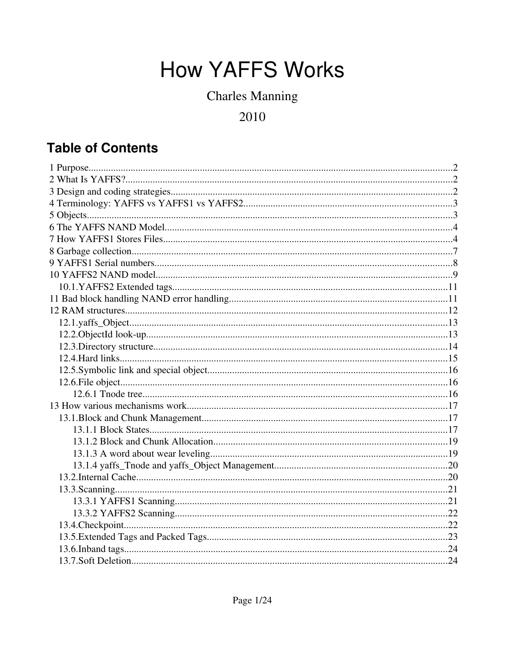# **How YAFFS Works**

# **Charles Manning**

# 2010

# **Table of Contents**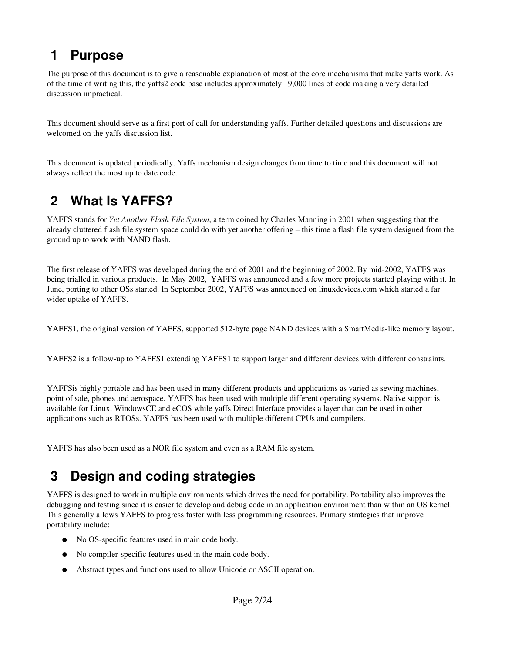# **1 Purpose**

The purpose of this document is to give a reasonable explanation of most of the core mechanisms that make yaffs work. As of the time of writing this, the yaffs2 code base includes approximately 19,000 lines of code making a very detailed discussion impractical.

This document should serve as a first port of call for understanding yaffs. Further detailed questions and discussions are welcomed on the yaffs discussion list.

This document is updated periodically. Yaffs mechanism design changes from time to time and this document will not always reflect the most up to date code.

# **2 What Is YAFFS?**

YAFFS stands for *Yet Another Flash File System*, a term coined by Charles Manning in 2001 when suggesting that the already cluttered flash file system space could do with yet another offering – this time a flash file system designed from the ground up to work with NAND flash.

The first release of YAFFS was developed during the end of 2001 and the beginning of 2002. By mid-2002, YAFFS was being trialled in various products. In May 2002, YAFFS was announced and a few more projects started playing with it. In June, porting to other OSs started. In September 2002, YAFFS was announced on linuxdevices.com which started a far wider uptake of YAFFS.

YAFFS1, the original version of YAFFS, supported 512-byte page NAND devices with a SmartMedia-like memory layout.

YAFFS2 is a follow-up to YAFFS1 extending YAFFS1 to support larger and different devices with different constraints.

YAFFSis highly portable and has been used in many different products and applications as varied as sewing machines, point of sale, phones and aerospace. YAFFS has been used with multiple different operating systems. Native support is available for Linux, WindowsCE and eCOS while yaffs Direct Interface provides a layer that can be used in other applications such as RTOSs. YAFFS has been used with multiple different CPUs and compilers.

YAFFS has also been used as a NOR file system and even as a RAM file system.

# **3 Design and coding strategies**

YAFFS is designed to work in multiple environments which drives the need for portability. Portability also improves the debugging and testing since it is easier to develop and debug code in an application environment than within an OS kernel. This generally allows YAFFS to progress faster with less programming resources. Primary strategies that improve portability include:

- No OS-specific features used in main code body.
- No compiler-specific features used in the main code body.
- Abstract types and functions used to allow Unicode or ASCII operation.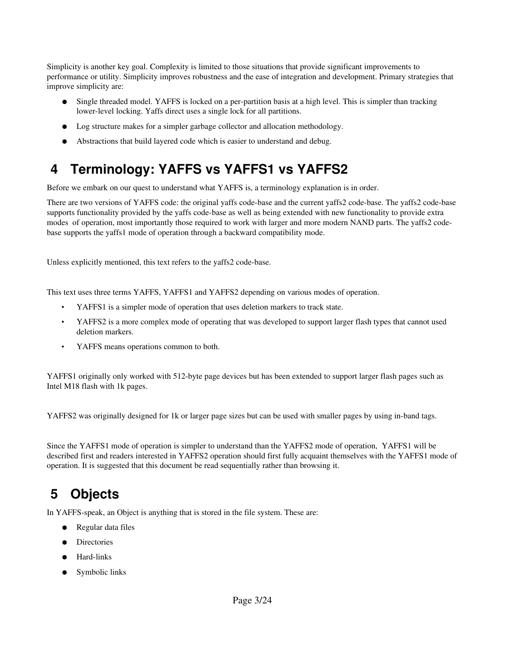Simplicity is another key goal. Complexity is limited to those situations that provide significant improvements to performance or utility. Simplicity improves robustness and the ease of integration and development. Primary strategies that improve simplicity are:

- Single threaded model. YAFFS is locked on a per-partition basis at a high level. This is simpler than tracking lower-level locking. Yaffs direct uses a single lock for all partitions.
- Log structure makes for a simpler garbage collector and allocation methodology.
- Abstractions that build layered code which is easier to understand and debug.

# **4 Terminology: YAFFS vs YAFFS1 vs YAFFS2**

Before we embark on our quest to understand what YAFFS is, a terminology explanation is in order.

There are two versions of YAFFS code: the original yaffs code-base and the current yaffs2 code-base. The yaffs2 code-base supports functionality provided by the yaffs code-base as well as being extended with new functionality to provide extra modes of operation, most importantly those required to work with larger and more modern NAND parts. The yaffs2 codebase supports the yaffs1 mode of operation through a backward compatibility mode.

Unless explicitly mentioned, this text refers to the yaffs2 code-base.

This text uses three terms YAFFS, YAFFS1 and YAFFS2 depending on various modes of operation.

- YAFFS1 is a simpler mode of operation that uses deletion markers to track state.
- YAFFS2 is a more complex mode of operating that was developed to support larger flash types that cannot used deletion markers.
- YAFFS means operations common to both.

YAFFS1 originally only worked with 512-byte page devices but has been extended to support larger flash pages such as Intel M18 flash with 1k pages.

YAFFS2 was originally designed for 1k or larger page sizes but can be used with smaller pages by using in-band tags.

Since the YAFFS1 mode of operation is simpler to understand than the YAFFS2 mode of operation, YAFFS1 will be described first and readers interested in YAFFS2 operation should first fully acquaint themselves with the YAFFS1 mode of operation. It is suggested that this document be read sequentially rather than browsing it.

# **5 Objects**

In YAFFS-speak, an Object is anything that is stored in the file system. These are:

- Regular data files
- **Directories**
- Hard-links
- Symbolic links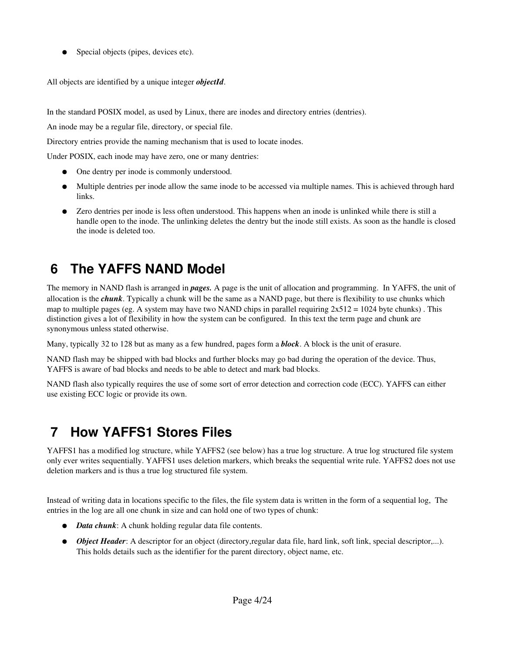● Special objects (pipes, devices etc).

All objects are identified by a unique integer *objectId*.

In the standard POSIX model, as used by Linux, there are inodes and directory entries (dentries).

An inode may be a regular file, directory, or special file.

Directory entries provide the naming mechanism that is used to locate inodes.

Under POSIX, each inode may have zero, one or many dentries:

- One dentry per inode is commonly understood.
- Multiple dentries per inode allow the same inode to be accessed via multiple names. This is achieved through hard links.
- Zero dentries per inode is less often understood. This happens when an inode is unlinked while there is still a handle open to the inode. The unlinking deletes the dentry but the inode still exists. As soon as the handle is closed the inode is deleted too.

# **6 The YAFFS NAND Model**

The memory in NAND flash is arranged in *pages.* A page is the unit of allocation and programming. In YAFFS, the unit of allocation is the *chunk*. Typically a chunk will be the same as a NAND page, but there is flexibility to use chunks which map to multiple pages (eg. A system may have two NAND chips in parallel requiring  $2x512 = 1024$  byte chunks). This distinction gives a lot of flexibility in how the system can be configured. In this text the term page and chunk are synonymous unless stated otherwise.

Many, typically 32 to 128 but as many as a few hundred, pages form a *block*. A block is the unit of erasure.

NAND flash may be shipped with bad blocks and further blocks may go bad during the operation of the device. Thus, YAFFS is aware of bad blocks and needs to be able to detect and mark bad blocks.

NAND flash also typically requires the use of some sort of error detection and correction code (ECC). YAFFS can either use existing ECC logic or provide its own.

# **7 How YAFFS1 Stores Files**

YAFFS1 has a modified log structure, while YAFFS2 (see below) has a true log structure. A true log structured file system only ever writes sequentially. YAFFS1 uses deletion markers, which breaks the sequential write rule. YAFFS2 does not use deletion markers and is thus a true log structured file system.

Instead of writing data in locations specific to the files, the file system data is written in the form of a sequential log, The entries in the log are all one chunk in size and can hold one of two types of chunk:

- *Data chunk*: A chunk holding regular data file contents.
- *Object Header*: A descriptor for an object (directory,regular data file, hard link, soft link, special descriptor,...). This holds details such as the identifier for the parent directory, object name, etc.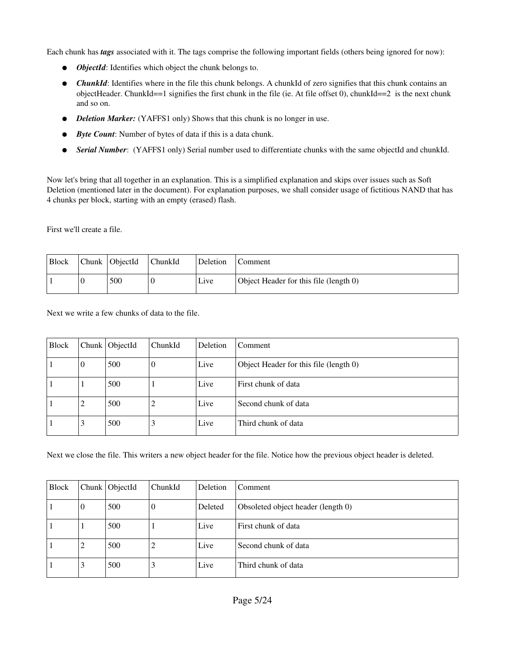Each chunk has *tags* associated with it. The tags comprise the following important fields (others being ignored for now):

- *ObjectId*: Identifies which object the chunk belongs to.
- *ChunkId*: Identifies where in the file this chunk belongs. A chunkId of zero signifies that this chunk contains an objectHeader. ChunkId==1 signifies the first chunk in the file (ie. At file offset 0), chunkId==2 is the next chunk and so on.
- *Deletion Marker:* (YAFFS1 only) Shows that this chunk is no longer in use.
- *Byte Count*: Number of bytes of data if this is a data chunk.
- *Serial Number*: (YAFFS1 only) Serial number used to differentiate chunks with the same objectId and chunkId.

Now let's bring that all together in an explanation. This is a simplified explanation and skips over issues such as Soft Deletion (mentioned later in the document). For explanation purposes, we shall consider usage of fictitious NAND that has 4 chunks per block, starting with an empty (erased) flash.

First we'll create a file.

| <b>Block</b> | Chunk   ObjectId | ChunkId | Deletion | Comment                                |
|--------------|------------------|---------|----------|----------------------------------------|
|              | 500              |         | Live     | Object Header for this file (length 0) |

Next we write a few chunks of data to the file.

| <b>Block</b> |                  | Chunk   ObjectId | ChunkId | Deletion | Comment                                |
|--------------|------------------|------------------|---------|----------|----------------------------------------|
|              | $\boldsymbol{0}$ | 500              | 0       | Live     | Object Header for this file (length 0) |
|              |                  | 500              |         | Live     | First chunk of data                    |
|              | 2                | 500              | 2       | Live     | Second chunk of data                   |
|              | 3                | 500              | 3       | Live     | Third chunk of data                    |

Next we close the file. This writers a new object header for the file. Notice how the previous object header is deleted.

| Block |                | Chunk $\vert$ ObjectId | ChunkId | Deletion | Comment                            |
|-------|----------------|------------------------|---------|----------|------------------------------------|
|       | $\overline{0}$ | 500                    | 0       | Deleted  | Obsoleted object header (length 0) |
|       |                | 500                    |         | Live     | First chunk of data                |
|       | ∠              | 500                    |         | Live     | Second chunk of data               |
|       | Ć              | 500                    | э       | Live     | Third chunk of data                |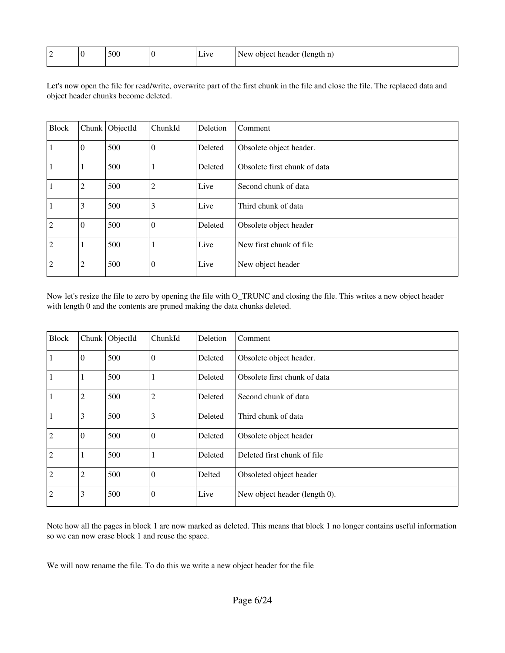| -- | 500 | 1VP | neade <sup>,</sup><br>тепотп<br>м<br>un ni |
|----|-----|-----|--------------------------------------------|
|    |     |     |                                            |

Let's now open the file for read/write, overwrite part of the first chunk in the file and close the file. The replaced data and object header chunks become deleted.

| <b>Block</b>   | Chunk        | ObjectId | ChunkId  | Deletion | Comment                      |
|----------------|--------------|----------|----------|----------|------------------------------|
| 1              | $\mathbf{0}$ | 500      | $\theta$ | Deleted  | Obsolete object header.      |
|                |              | 500      |          | Deleted  | Obsolete first chunk of data |
| 1              | 2            | 500      | 2        | Live     | Second chunk of data         |
| 1              | 3            | 500      | 3        | Live     | Third chunk of data          |
| $\overline{2}$ | $\mathbf{0}$ | 500      | $\theta$ | Deleted  | Obsolete object header       |
| $\overline{2}$ | л            | 500      | 1        | Live     | New first chunk of file      |
| $\overline{2}$ | 2            | 500      | $\theta$ | Live     | New object header            |

Now let's resize the file to zero by opening the file with O\_TRUNC and closing the file. This writes a new object header with length 0 and the contents are pruned making the data chunks deleted.

| <b>Block</b>   | Chunk          | ObjectId | ChunkId        | Deletion       | Comment                       |
|----------------|----------------|----------|----------------|----------------|-------------------------------|
|                | $\mathbf{0}$   | 500      | $\theta$       | Deleted        | Obsolete object header.       |
|                | 1              | 500      | 1              | Deleted        | Obsolete first chunk of data  |
|                | $\overline{2}$ | 500      | $\overline{c}$ | <b>Deleted</b> | Second chunk of data          |
| 1              | 3              | 500      | 3              | Deleted        | Third chunk of data           |
| $\overline{2}$ | $\theta$       | 500      | $\theta$       | Deleted        | Obsolete object header        |
| $\overline{2}$ | -1             | 500      | 1              | Deleted        | Deleted first chunk of file   |
| $\overline{2}$ | $\overline{c}$ | 500      | $\overline{0}$ | Delted         | Obsoleted object header       |
| $\overline{2}$ | 3              | 500      | $\mathbf{0}$   | Live           | New object header (length 0). |

Note how all the pages in block 1 are now marked as deleted. This means that block 1 no longer contains useful information so we can now erase block 1 and reuse the space.

We will now rename the file. To do this we write a new object header for the file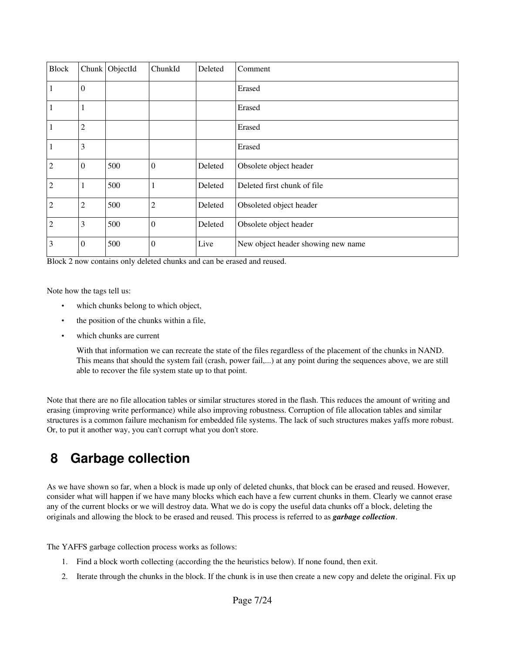| <b>Block</b>   | Chunk <sup> </sup> | ObjectId | ChunkId          | Deleted | Comment                            |
|----------------|--------------------|----------|------------------|---------|------------------------------------|
| 1              | $\boldsymbol{0}$   |          |                  |         | Erased                             |
|                |                    |          |                  |         | Erased                             |
| 1              | $\mathfrak{2}$     |          |                  |         | Erased                             |
| 1              | 3                  |          |                  |         | Erased                             |
| 2              | $\mathbf{0}$       | 500      | $\boldsymbol{0}$ | Deleted | Obsolete object header             |
| $\overline{2}$ |                    | 500      | 1                | Deleted | Deleted first chunk of file        |
| 2              | $\mathfrak{2}$     | 500      | $\overline{2}$   | Deleted | Obsoleted object header            |
| 2              | 3                  | 500      | $\mathbf{0}$     | Deleted | Obsolete object header             |
| 3              | $\mathbf{0}$       | 500      | $\theta$         | Live    | New object header showing new name |

Block 2 now contains only deleted chunks and can be erased and reused.

Note how the tags tell us:

- which chunks belong to which object,
- the position of the chunks within a file,
- which chunks are current

With that information we can recreate the state of the files regardless of the placement of the chunks in NAND. This means that should the system fail (crash, power fail,...) at any point during the sequences above, we are still able to recover the file system state up to that point.

Note that there are no file allocation tables or similar structures stored in the flash. This reduces the amount of writing and erasing (improving write performance) while also improving robustness. Corruption of file allocation tables and similar structures is a common failure mechanism for embedded file systems. The lack of such structures makes yaffs more robust. Or, to put it another way, you can't corrupt what you don't store.

### **8 Garbage collection**

As we have shown so far, when a block is made up only of deleted chunks, that block can be erased and reused. However, consider what will happen if we have many blocks which each have a few current chunks in them. Clearly we cannot erase any of the current blocks or we will destroy data. What we do is copy the useful data chunks off a block, deleting the originals and allowing the block to be erased and reused. This process is referred to as *garbage collection*.

The YAFFS garbage collection process works as follows:

- 1. Find a block worth collecting (according the the heuristics below). If none found, then exit.
- 2. Iterate through the chunks in the block. If the chunk is in use then create a new copy and delete the original. Fix up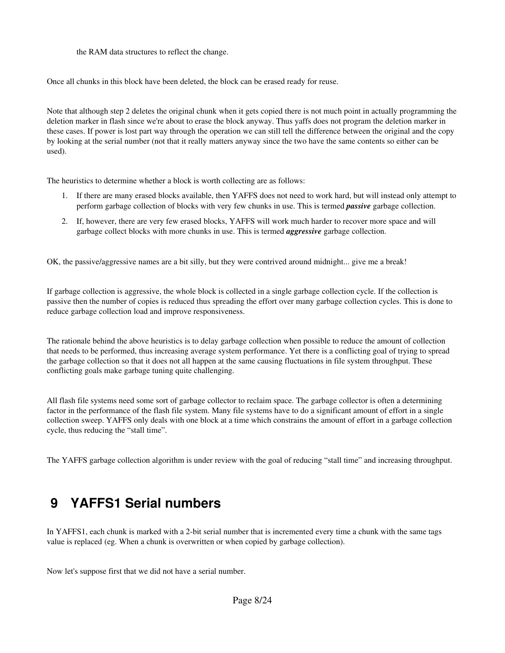the RAM data structures to reflect the change.

Once all chunks in this block have been deleted, the block can be erased ready for reuse.

Note that although step 2 deletes the original chunk when it gets copied there is not much point in actually programming the deletion marker in flash since we're about to erase the block anyway. Thus yaffs does not program the deletion marker in these cases. If power is lost part way through the operation we can still tell the difference between the original and the copy by looking at the serial number (not that it really matters anyway since the two have the same contents so either can be used).

The heuristics to determine whether a block is worth collecting are as follows:

- 1. If there are many erased blocks available, then YAFFS does not need to work hard, but will instead only attempt to perform garbage collection of blocks with very few chunks in use. This is termed *passive* garbage collection.
- 2. If, however, there are very few erased blocks, YAFFS will work much harder to recover more space and will garbage collect blocks with more chunks in use. This is termed *aggressive* garbage collection.

OK, the passive/aggressive names are a bit silly, but they were contrived around midnight... give me a break!

If garbage collection is aggressive, the whole block is collected in a single garbage collection cycle. If the collection is passive then the number of copies is reduced thus spreading the effort over many garbage collection cycles. This is done to reduce garbage collection load and improve responsiveness.

The rationale behind the above heuristics is to delay garbage collection when possible to reduce the amount of collection that needs to be performed, thus increasing average system performance. Yet there is a conflicting goal of trying to spread the garbage collection so that it does not all happen at the same causing fluctuations in file system throughput. These conflicting goals make garbage tuning quite challenging.

All flash file systems need some sort of garbage collector to reclaim space. The garbage collector is often a determining factor in the performance of the flash file system. Many file systems have to do a significant amount of effort in a single collection sweep. YAFFS only deals with one block at a time which constrains the amount of effort in a garbage collection cycle, thus reducing the "stall time".

The YAFFS garbage collection algorithm is under review with the goal of reducing "stall time" and increasing throughput.

# **9 YAFFS1 Serial numbers**

In YAFFS1, each chunk is marked with a 2-bit serial number that is incremented every time a chunk with the same tags value is replaced (eg. When a chunk is overwritten or when copied by garbage collection).

Now let's suppose first that we did not have a serial number.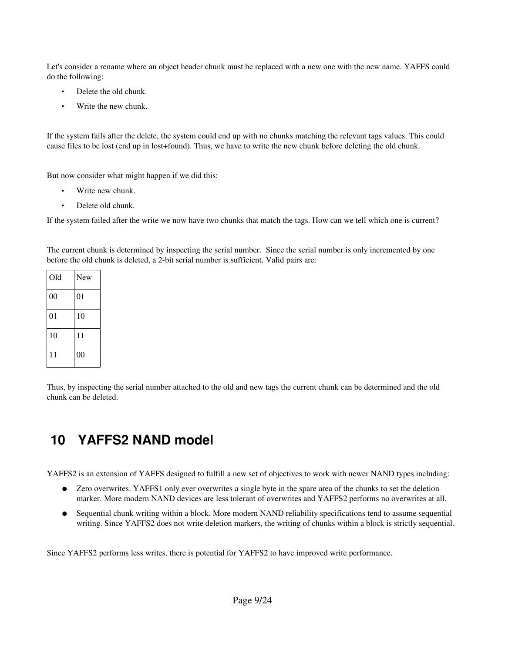Let's consider a rename where an object header chunk must be replaced with a new one with the new name. YAFFS could do the following:

- Delete the old chunk.
- Write the new chunk.

If the system fails after the delete, the system could end up with no chunks matching the relevant tags values. This could cause files to be lost (end up in lost+found). Thus, we have to write the new chunk before deleting the old chunk.

But now consider what might happen if we did this:

- Write new chunk.
- Delete old chunk.

If the system failed after the write we now have two chunks that match the tags. How can we tell which one is current?

The current chunk is determined by inspecting the serial number. Since the serial number is only incremented by one before the old chunk is deleted, a 2-bit serial number is sufficient. Valid pairs are:

| Old | New |
|-----|-----|
| 00  | 01  |
| 01  | 10  |
| 10  | 11  |
| 11  | 00  |

Thus, by inspecting the serial number attached to the old and new tags the current chunk can be determined and the old chunk can be deleted.

### **10 YAFFS2 NAND model**

YAFFS2 is an extension of YAFFS designed to fulfill a new set of objectives to work with newer NAND types including:

- Zero overwrites. YAFFS1 only ever overwrites a single byte in the spare area of the chunks to set the deletion marker. More modern NAND devices are less tolerant of overwrites and YAFFS2 performs no overwrites at all.
- Sequential chunk writing within a block. More modern NAND reliability specifications tend to assume sequential writing. Since YAFFS2 does not write deletion markers, the writing of chunks within a block is strictly sequential.

Since YAFFS2 performs less writes, there is potential for YAFFS2 to have improved write performance.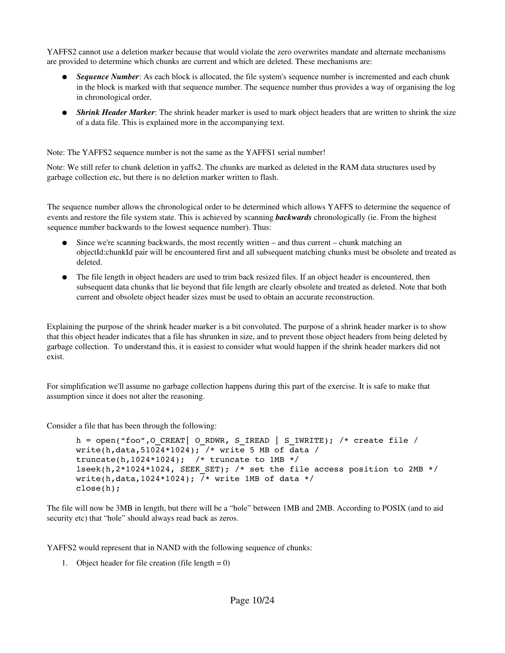YAFFS2 cannot use a deletion marker because that would violate the zero overwrites mandate and alternate mechanisms are provided to determine which chunks are current and which are deleted. These mechanisms are:

- Sequence Number: As each block is allocated, the file system's sequence number is incremented and each chunk in the block is marked with that sequence number. The sequence number thus provides a way of organising the log in chronological order.
- *Shrink Header Marker*: The shrink header marker is used to mark object headers that are written to shrink the size of a data file. This is explained more in the accompanying text.

Note: The YAFFS2 sequence number is not the same as the YAFFS1 serial number!

Note: We still refer to chunk deletion in yaffs2. The chunks are marked as deleted in the RAM data structures used by garbage collection etc, but there is no deletion marker written to flash.

The sequence number allows the chronological order to be determined which allows YAFFS to determine the sequence of events and restore the file system state. This is achieved by scanning *backwards* chronologically (ie. From the highest sequence number backwards to the lowest sequence number). Thus:

- Since we're scanning backwards, the most recently written and thus current chunk matching an objectId:chunkId pair will be encountered first and all subsequent matching chunks must be obsolete and treated as deleted.
- The file length in object headers are used to trim back resized files. If an object header is encountered, then subsequent data chunks that lie beyond that file length are clearly obsolete and treated as deleted. Note that both current and obsolete object header sizes must be used to obtain an accurate reconstruction.

Explaining the purpose of the shrink header marker is a bit convoluted. The purpose of a shrink header marker is to show that this object header indicates that a file has shrunken in size, and to prevent those object headers from being deleted by garbage collection. To understand this, it is easiest to consider what would happen if the shrink header markers did not exist.

For simplification we'll assume no garbage collection happens during this part of the exercise. It is safe to make that assumption since it does not alter the reasoning.

Consider a file that has been through the following:

```
h = open("foo", O CREAT| O_RDWR, S_IREAD | S_IWRITE); /* create file /
write(h,data,51024*1024); /* write 5 MB of data /
truncate(h,1024*1024); /* truncate to 1MB */
lseek(h,2*1024*1024, SEEK SET); /* set the file access position to 2MB */
write(h,data,1024*1024); /* write 1MB of data */
close(h);
```
The file will now be 3MB in length, but there will be a "hole" between 1MB and 2MB. According to POSIX (and to aid security etc) that "hole" should always read back as zeros.

YAFFS2 would represent that in NAND with the following sequence of chunks:

1. Object header for file creation (file length  $= 0$ )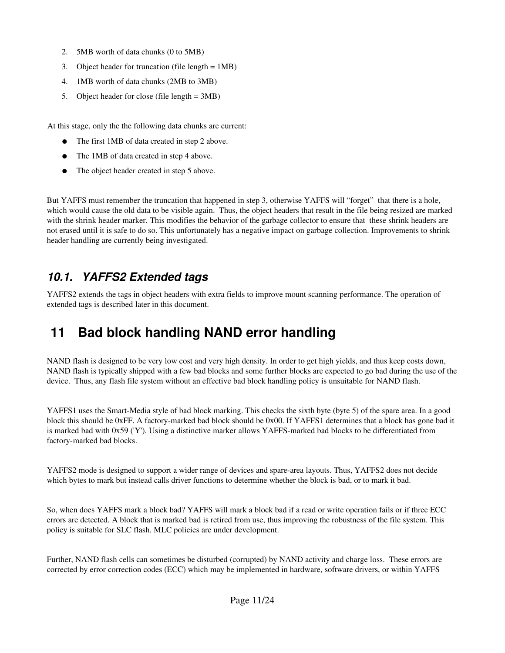- 2. 5MB worth of data chunks (0 to 5MB)
- 3. Object header for truncation (file length = 1MB)
- 4. 1MB worth of data chunks (2MB to 3MB)
- 5. Object header for close (file length = 3MB)

At this stage, only the the following data chunks are current:

- The first 1MB of data created in step 2 above.
- The 1MB of data created in step 4 above.
- The object header created in step 5 above.

But YAFFS must remember the truncation that happened in step 3, otherwise YAFFS will "forget" that there is a hole, which would cause the old data to be visible again. Thus, the object headers that result in the file being resized are marked with the shrink header marker. This modifies the behavior of the garbage collector to ensure that these shrink headers are not erased until it is safe to do so. This unfortunately has a negative impact on garbage collection. Improvements to shrink header handling are currently being investigated.

#### *10.1. YAFFS2 Extended tags*

YAFFS2 extends the tags in object headers with extra fields to improve mount scanning performance. The operation of extended tags is described later in this document.

### **11 Bad block handling NAND error handling**

NAND flash is designed to be very low cost and very high density. In order to get high yields, and thus keep costs down, NAND flash is typically shipped with a few bad blocks and some further blocks are expected to go bad during the use of the device. Thus, any flash file system without an effective bad block handling policy is unsuitable for NAND flash.

YAFFS1 uses the Smart-Media style of bad block marking. This checks the sixth byte (byte 5) of the spare area. In a good block this should be 0xFF. A factory-marked bad block should be 0x00. If YAFFS1 determines that a block has gone bad it is marked bad with  $0x59$  ('Y'). Using a distinctive marker allows YAFFS-marked bad blocks to be differentiated from factory-marked bad blocks.

YAFFS2 mode is designed to support a wider range of devices and spare-area layouts. Thus, YAFFS2 does not decide which bytes to mark but instead calls driver functions to determine whether the block is bad, or to mark it bad.

So, when does YAFFS mark a block bad? YAFFS will mark a block bad if a read or write operation fails or if three ECC errors are detected. A block that is marked bad is retired from use, thus improving the robustness of the file system. This policy is suitable for SLC flash. MLC policies are under development.

Further, NAND flash cells can sometimes be disturbed (corrupted) by NAND activity and charge loss. These errors are corrected by error correction codes (ECC) which may be implemented in hardware, software drivers, or within YAFFS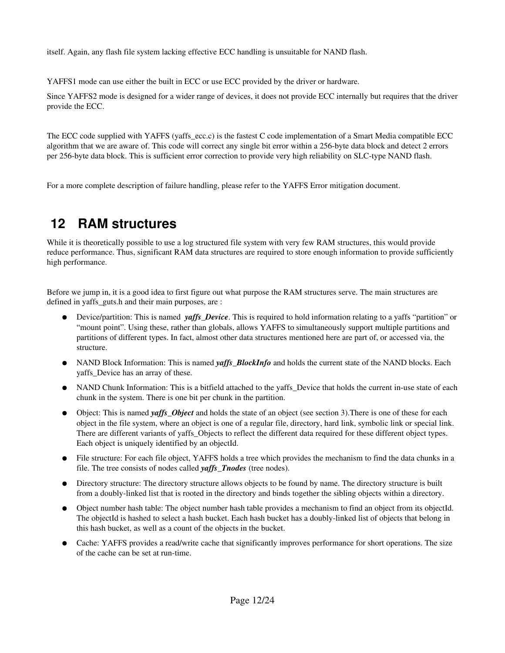itself. Again, any flash file system lacking effective ECC handling is unsuitable for NAND flash.

YAFFS1 mode can use either the built in ECC or use ECC provided by the driver or hardware.

Since YAFFS2 mode is designed for a wider range of devices, it does not provide ECC internally but requires that the driver provide the ECC.

The ECC code supplied with YAFFS (yaffs\_ecc.c) is the fastest C code implementation of a Smart Media compatible ECC algorithm that we are aware of. This code will correct any single bit error within a 256-byte data block and detect 2 errors per 256-byte data block. This is sufficient error correction to provide very high reliability on SLC-type NAND flash.

For a more complete description of failure handling, please refer to the YAFFS Error mitigation document.

# **12 RAM structures**

While it is theoretically possible to use a log structured file system with very few RAM structures, this would provide reduce performance. Thus, significant RAM data structures are required to store enough information to provide sufficiently high performance.

Before we jump in, it is a good idea to first figure out what purpose the RAM structures serve. The main structures are defined in yaffs\_guts.h and their main purposes, are :

- Device/partition: This is named *yaffs\_Device*. This is required to hold information relating to a yaffs "partition" or "mount point". Using these, rather than globals, allows YAFFS to simultaneously support multiple partitions and partitions of different types. In fact, almost other data structures mentioned here are part of, or accessed via, the structure.
- NAND Block Information: This is named *yaffs\_BlockInfo* and holds the current state of the NAND blocks. Each yaffs\_Device has an array of these.
- NAND Chunk Information: This is a bitfield attached to the vaffs Device that holds the current in-use state of each chunk in the system. There is one bit per chunk in the partition.
- Object: This is named *yaffs\_Object* and holds the state of an object (see section 3).There is one of these for each object in the file system, where an object is one of a regular file, directory, hard link, symbolic link or special link. There are different variants of yaffs. Objects to reflect the different data required for these different object types. Each object is uniquely identified by an objectId.
- File structure: For each file object, YAFFS holds a tree which provides the mechanism to find the data chunks in a file. The tree consists of nodes called *yaffs\_Tnodes* (tree nodes).
- Directory structure: The directory structure allows objects to be found by name. The directory structure is built from a doubly-linked list that is rooted in the directory and binds together the sibling objects within a directory.
- Object number hash table: The object number hash table provides a mechanism to find an object from its objectId. The objectId is hashed to select a hash bucket. Each hash bucket has a doubly-linked list of objects that belong in this hash bucket, as well as a count of the objects in the bucket.
- Cache: YAFFS provides a read/write cache that significantly improves performance for short operations. The size of the cache can be set at run-time.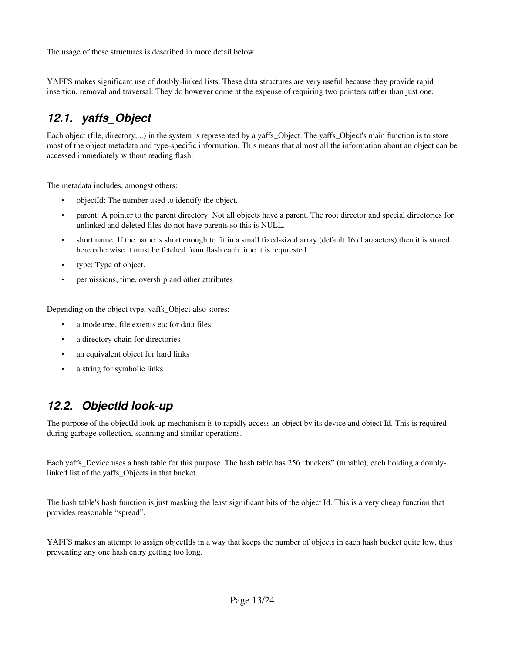The usage of these structures is described in more detail below.

YAFFS makes significant use of doubly-linked lists. These data structures are very useful because they provide rapid insertion, removal and traversal. They do however come at the expense of requiring two pointers rather than just one.

### *12.1. yaffs\_Object*

Each object (file, directory,...) in the system is represented by a yaffs\_Object. The yaffs\_Object's main function is to store most of the object metadata and type-specific information. This means that almost all the information about an object can be accessed immediately without reading flash.

The metadata includes, amongst others:

- objectId: The number used to identify the object.
- parent: A pointer to the parent directory. Not all objects have a parent. The root director and special directories for unlinked and deleted files do not have parents so this is NULL.
- short name: If the name is short enough to fit in a small fixed-sized array (default 16 charaacters) then it is stored here otherwise it must be fetched from flash each time it is requrested.
- type: Type of object.
- permissions, time, overship and other attributes

Depending on the object type, yaffs\_Object also stores:

- a tnode tree, file extents etc for data files
- a directory chain for directories
- an equivalent object for hard links
- a string for symbolic links

#### 12.2. ObjectId look-up

The purpose of the objectId look-up mechanism is to rapidly access an object by its device and object Id. This is required during garbage collection, scanning and similar operations.

Each yaffs\_Device uses a hash table for this purpose. The hash table has 256 "buckets" (tunable), each holding a doublylinked list of the yaffs\_Objects in that bucket.

The hash table's hash function is just masking the least significant bits of the object Id. This is a very cheap function that provides reasonable "spread".

YAFFS makes an attempt to assign objectIds in a way that keeps the number of objects in each hash bucket quite low, thus preventing any one hash entry getting too long.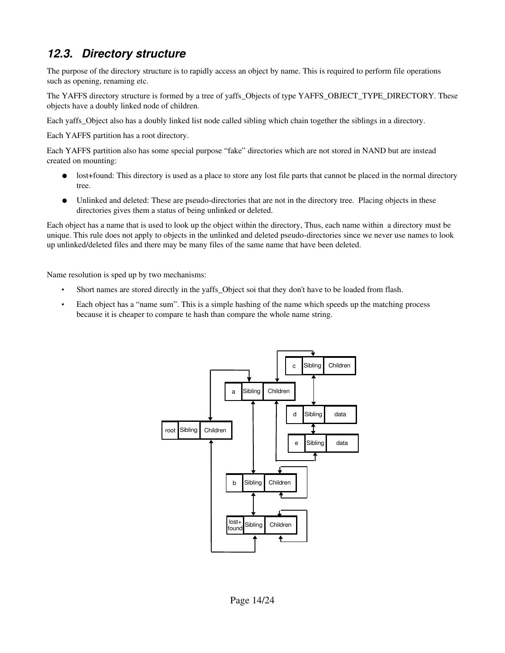### *12.3. Directory structure*

The purpose of the directory structure is to rapidly access an object by name. This is required to perform file operations such as opening, renaming etc.

The YAFFS directory structure is formed by a tree of yaffs\_Objects of type YAFFS\_OBJECT\_TYPE\_DIRECTORY. These objects have a doubly linked node of children.

Each yaffs\_Object also has a doubly linked list node called sibling which chain together the siblings in a directory.

Each YAFFS partition has a root directory.

Each YAFFS partition also has some special purpose "fake" directories which are not stored in NAND but are instead created on mounting:

- lost+found: This directory is used as a place to store any lost file parts that cannot be placed in the normal directory tree.
- Unlinked and deleted: These are pseudo-directories that are not in the directory tree. Placing objects in these directories gives them a status of being unlinked or deleted.

Each object has a name that is used to look up the object within the directory, Thus, each name within a directory must be unique. This rule does not apply to objects in the unlinked and deleted pseudo-directories since we never use names to look up unlinked/deleted files and there may be many files of the same name that have been deleted.

Name resolution is sped up by two mechanisms:

- Short names are stored directly in the yaffs\_Object soi that they don't have to be loaded from flash.
- Each object has a "name sum". This is a simple hashing of the name which speeds up the matching process because it is cheaper to compare te hash than compare the whole name string.

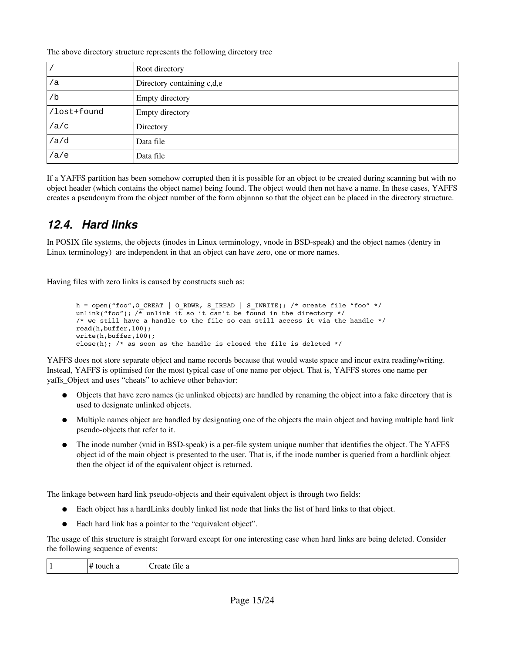The above directory structure represents the following directory tree

|             | Root directory             |
|-------------|----------------------------|
| a/          | Directory containing c,d,e |
| /b          | <b>Empty directory</b>     |
| /lost+found | Empty directory            |
| /a/c        | Directory                  |
| /a/d        | Data file                  |
| /ae         | Data file                  |

If a YAFFS partition has been somehow corrupted then it is possible for an object to be created during scanning but with no object header (which contains the object name) being found. The object would then not have a name. In these cases, YAFFS creates a pseudonym from the object number of the form objnnnn so that the object can be placed in the directory structure.

#### *12.4. Hard links*

In POSIX file systems, the objects (inodes in Linux terminology, vnode in BSD-speak) and the object names (dentry in Linux terminology) are independent in that an object can have zero, one or more names.

Having files with zero links is caused by constructs such as:

```
h = open("foo", O_CREAT | O_RDWR, S_IREAD | S_IWRITE); /* create file "foo" */
unlink("foo"); \sqrt{x} unlink it so it can't be found in the directory */
/* we still have a handle to the file so can still access it via the handle */
read(h,buffer,100);
write(h,buffer,100);
close(h); /* as soon as the handle is closed the file is deleted */
```
YAFFS does not store separate object and name records because that would waste space and incur extra reading/writing. Instead, YAFFS is optimised for the most typical case of one name per object. That is, YAFFS stores one name per yaffs\_Object and uses "cheats" to achieve other behavior:

- Objects that have zero names (ie unlinked objects) are handled by renaming the object into a fake directory that is used to designate unlinked objects.
- Multiple names object are handled by designating one of the objects the main object and having multiple hard link pseudo-objects that refer to it.
- The inode number (vnid in BSD-speak) is a per-file system unique number that identifies the object. The YAFFS object id of the main object is presented to the user. That is, if the inode number is queried from a hardlink object then the object id of the equivalent object is returned.

The linkage between hard link pseudo-objects and their equivalent object is through two fields:

- Each object has a hardLinks doubly linked list node that links the list of hard links to that object.
- Each hard link has a pointer to the "equivalent object".

The usage of this structure is straight forward except for one interesting case when hard links are being deleted. Consider the following sequence of events:

|  | $\mu$<br><b>1011</b><br>π | <b>COLL</b><br>ີຕິດຕະ<br>пне а<br>геан |
|--|---------------------------|----------------------------------------|
|--|---------------------------|----------------------------------------|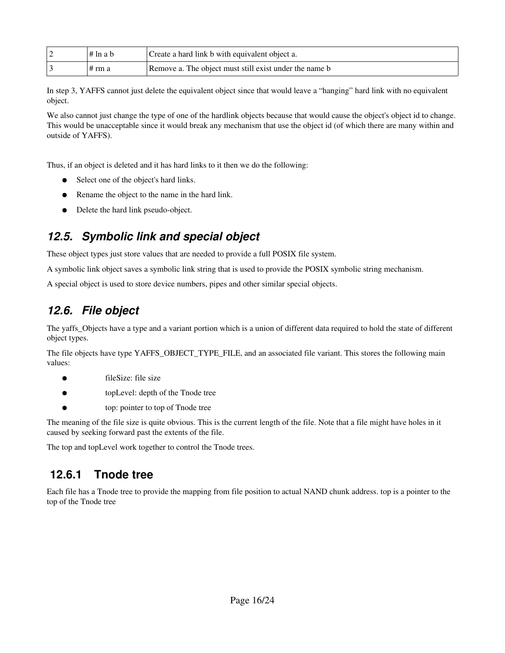| $# \ln a b$ | Create a hard link b with equivalent object a.         |
|-------------|--------------------------------------------------------|
| # rm a      | Remove a. The object must still exist under the name b |

In step 3, YAFFS cannot just delete the equivalent object since that would leave a "hanging" hard link with no equivalent object.

We also cannot just change the type of one of the hardlink objects because that would cause the object's object id to change. This would be unacceptable since it would break any mechanism that use the object id (of which there are many within and outside of YAFFS).

Thus, if an object is deleted and it has hard links to it then we do the following:

- Select one of the object's hard links.
- Rename the object to the name in the hard link.
- Delete the hard link pseudo-object.

#### *12.5. Symbolic link and special object*

These object types just store values that are needed to provide a full POSIX file system.

A symbolic link object saves a symbolic link string that is used to provide the POSIX symbolic string mechanism.

A special object is used to store device numbers, pipes and other similar special objects.

#### *12.6. File object*

The yaffs Objects have a type and a variant portion which is a union of different data required to hold the state of different object types.

The file objects have type YAFFS\_OBJECT\_TYPE\_FILE, and an associated file variant. This stores the following main values:

- fileSize: file size
- topLevel: depth of the Tnode tree
- top: pointer to top of Tnode tree

The meaning of the file size is quite obvious. This is the current length of the file. Note that a file might have holes in it caused by seeking forward past the extents of the file.

The top and topLevel work together to control the Tnode trees.

#### **12.6.1 Tnode tree**

Each file has a Tnode tree to provide the mapping from file position to actual NAND chunk address. top is a pointer to the top of the Tnode tree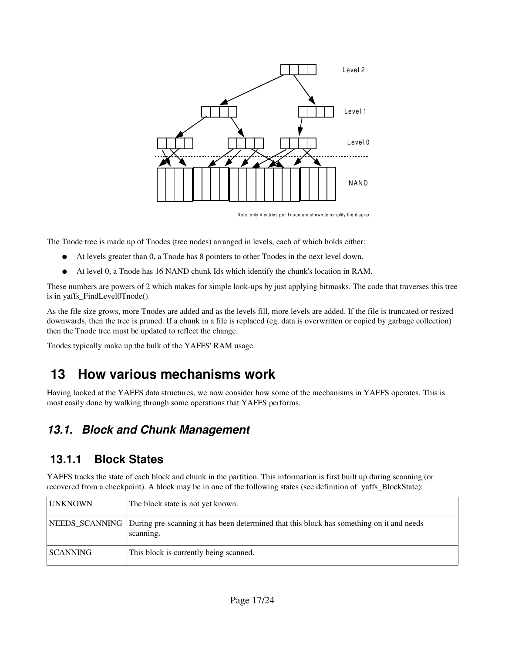

Note, only 4 entries per Tnode are shown to simplify the diagram

The Tnode tree is made up of Tnodes (tree nodes) arranged in levels, each of which holds either:

- At levels greater than 0, a Tnode has 8 pointers to other Tnodes in the next level down.
- At level 0, a Tnode has 16 NAND chunk Ids which identify the chunk's location in RAM.

These numbers are powers of 2 which makes for simple look-ups by just applying bitmasks. The code that traverses this tree is in yaffs\_FindLevel0Tnode().

As the file size grows, more Tnodes are added and as the levels fill, more levels are added. If the file is truncated or resized downwards, then the tree is pruned. If a chunk in a file is replaced (eg. data is overwritten or copied by garbage collection) then the Tnode tree must be updated to reflect the change.

Tnodes typically make up the bulk of the YAFFS' RAM usage.

# **13 How various mechanisms work**

Having looked at the YAFFS data structures, we now consider how some of the mechanisms in YAFFS operates. This is most easily done by walking through some operations that YAFFS performs.

#### *13.1. Block and Chunk Management*

#### **13.1.1 Block States**

YAFFS tracks the state of each block and chunk in the partition. This information is first built up during scanning (or recovered from a checkpoint). A block may be in one of the following states (see definition of yaffs\_BlockState):

| <b>UNKNOWN</b> | The block state is not yet known.                                                                                    |
|----------------|----------------------------------------------------------------------------------------------------------------------|
|                | NEEDS_SCANNING During pre-scanning it has been determined that this block has something on it and needs<br>scanning. |
| SCANNING       | This block is currently being scanned.                                                                               |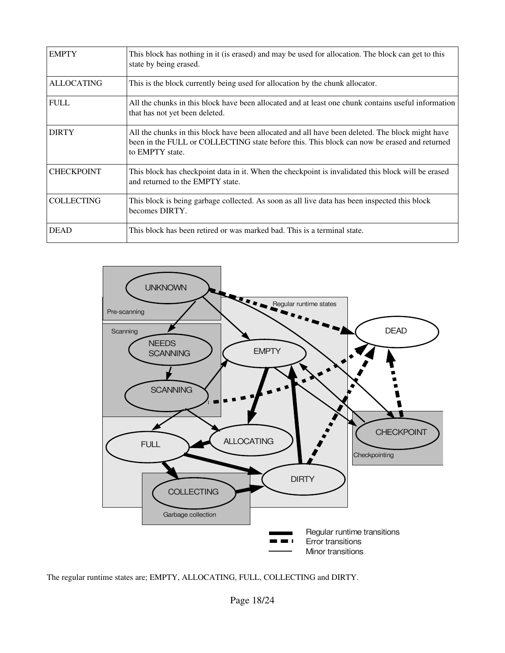| <b>EMPTY</b>      | This block has nothing in it (is erased) and may be used for allocation. The block can get to this<br>state by being erased.                                                                                       |
|-------------------|--------------------------------------------------------------------------------------------------------------------------------------------------------------------------------------------------------------------|
| <b>ALLOCATING</b> | This is the block currently being used for allocation by the chunk allocator.                                                                                                                                      |
| <b>FULL</b>       | All the chunks in this block have been allocated and at least one chunk contains useful information<br>that has not yet been deleted.                                                                              |
| <b>DIRTY</b>      | All the chunks in this block have been allocated and all have been deleted. The block might have<br>been in the FULL or COLLECTING state before this. This block can now be erased and returned<br>to EMPTY state. |
| <b>CHECKPOINT</b> | This block has checkpoint data in it. When the checkpoint is invalidated this block will be erased<br>and returned to the EMPTY state.                                                                             |
| <b>COLLECTING</b> | This block is being garbage collected. As soon as all live data has been inspected this block<br>becomes DIRTY.                                                                                                    |
| <b>DEAD</b>       | This block has been retired or was marked bad. This is a terminal state.                                                                                                                                           |



The regular runtime states are; EMPTY, ALLOCATING, FULL, COLLECTING and DIRTY.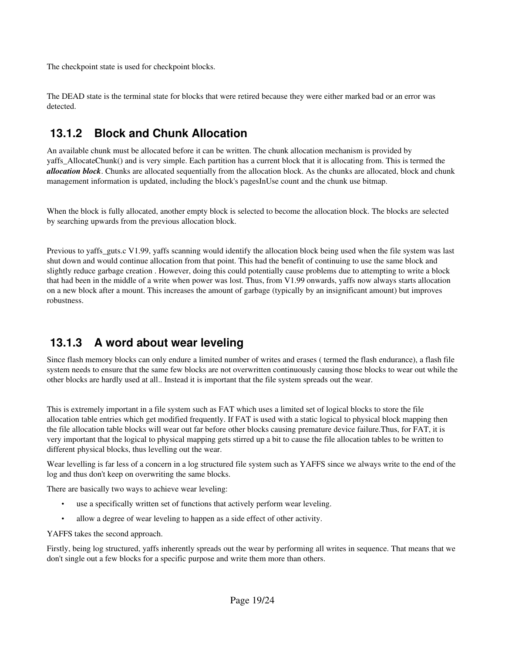The checkpoint state is used for checkpoint blocks.

The DEAD state is the terminal state for blocks that were retired because they were either marked bad or an error was detected.

#### **13.1.2 Block and Chunk Allocation**

An available chunk must be allocated before it can be written. The chunk allocation mechanism is provided by yaffs\_AllocateChunk() and is very simple. Each partition has a current block that it is allocating from. This is termed the *allocation block*. Chunks are allocated sequentially from the allocation block. As the chunks are allocated, block and chunk management information is updated, including the block's pagesInUse count and the chunk use bitmap.

When the block is fully allocated, another empty block is selected to become the allocation block. The blocks are selected by searching upwards from the previous allocation block.

Previous to yaffs\_guts.c V1.99, yaffs scanning would identify the allocation block being used when the file system was last shut down and would continue allocation from that point. This had the benefit of continuing to use the same block and slightly reduce garbage creation . However, doing this could potentially cause problems due to attempting to write a block that had been in the middle of a write when power was lost. Thus, from V1.99 onwards, yaffs now always starts allocation on a new block after a mount. This increases the amount of garbage (typically by an insignificant amount) but improves robustness.

### **13.1.3 A word about wear leveling**

Since flash memory blocks can only endure a limited number of writes and erases ( termed the flash endurance), a flash file system needs to ensure that the same few blocks are not overwritten continuously causing those blocks to wear out while the other blocks are hardly used at all.. Instead it is important that the file system spreads out the wear.

This is extremely important in a file system such as FAT which uses a limited set of logical blocks to store the file allocation table entries which get modified frequently. If FAT is used with a static logical to physical block mapping then the file allocation table blocks will wear out far before other blocks causing premature device failure.Thus, for FAT, it is very important that the logical to physical mapping gets stirred up a bit to cause the file allocation tables to be written to different physical blocks, thus levelling out the wear.

Wear levelling is far less of a concern in a log structured file system such as YAFFS since we always write to the end of the log and thus don't keep on overwriting the same blocks.

There are basically two ways to achieve wear leveling:

- use a specifically written set of functions that actively perform wear leveling.
- allow a degree of wear leveling to happen as a side effect of other activity.

YAFFS takes the second approach.

Firstly, being log structured, yaffs inherently spreads out the wear by performing all writes in sequence. That means that we don't single out a few blocks for a specific purpose and write them more than others.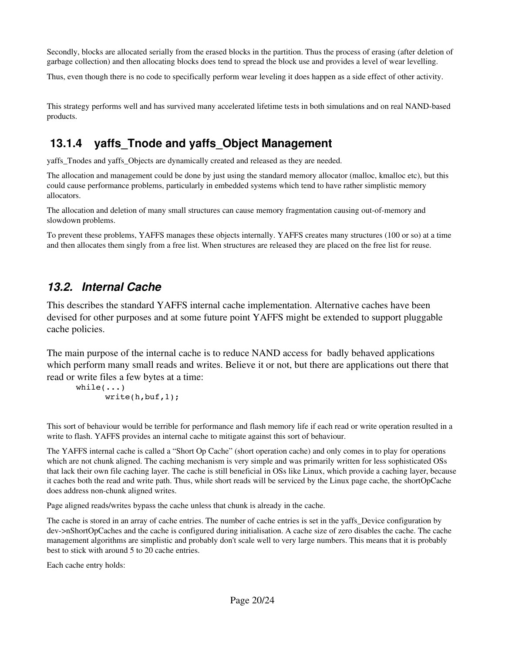Secondly, blocks are allocated serially from the erased blocks in the partition. Thus the process of erasing (after deletion of garbage collection) and then allocating blocks does tend to spread the block use and provides a level of wear levelling.

Thus, even though there is no code to specifically perform wear leveling it does happen as a side effect of other activity.

This strategy performs well and has survived many accelerated lifetime tests in both simulations and on real NAND-based products.

### **13.1.4 yaffs\_Tnode and yaffs\_Object Management**

yaffs Tnodes and yaffs Objects are dynamically created and released as they are needed.

The allocation and management could be done by just using the standard memory allocator (malloc, kmalloc etc), but this could cause performance problems, particularly in embedded systems which tend to have rather simplistic memory allocators.

The allocation and deletion of many small structures can cause memory fragmentation causing out-of-memory and slowdown problems.

To prevent these problems, YAFFS manages these objects internally. YAFFS creates many structures (100 or so) at a time and then allocates them singly from a free list. When structures are released they are placed on the free list for reuse.

#### *13.2. Internal Cache*

This describes the standard YAFFS internal cache implementation. Alternative caches have been devised for other purposes and at some future point YAFFS might be extended to support pluggable cache policies.

The main purpose of the internal cache is to reduce NAND access for badly behaved applications which perform many small reads and writes. Believe it or not, but there are applications out there that read or write files a few bytes at a time:

```
while(\ldots)write(h,buf,1);
```
This sort of behaviour would be terrible for performance and flash memory life if each read or write operation resulted in a write to flash. YAFFS provides an internal cache to mitigate against this sort of behaviour.

The YAFFS internal cache is called a "Short Op Cache" (short operation cache) and only comes in to play for operations which are not chunk aligned. The caching mechanism is very simple and was primarily written for less sophisticated OSs that lack their own file caching layer. The cache is still beneficial in OSs like Linux, which provide a caching layer, because it caches both the read and write path. Thus, while short reads will be serviced by the Linux page cache, the shortOpCache does address non-chunk aligned writes.

Page aligned reads/writes bypass the cache unless that chunk is already in the cache.

The cache is stored in an array of cache entries. The number of cache entries is set in the yaffs\_Device configuration by dev>nShortOpCaches and the cache is configured during initialisation. A cache size of zero disables the cache. The cache management algorithms are simplistic and probably don't scale well to very large numbers. This means that it is probably best to stick with around 5 to 20 cache entries.

Each cache entry holds: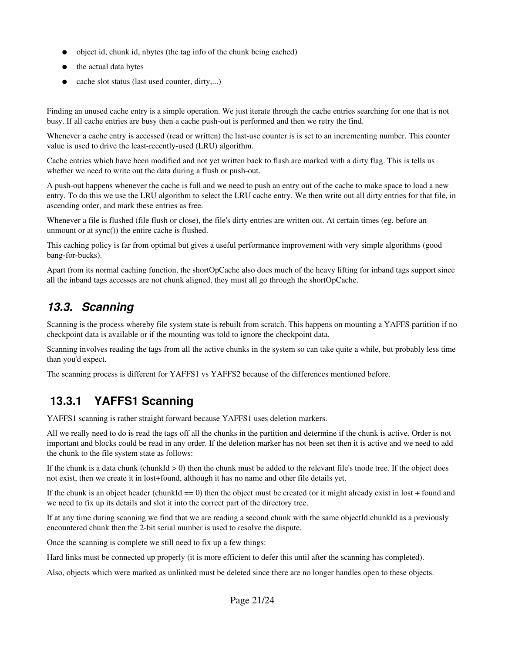- object id, chunk id, nbytes (the tag info of the chunk being cached)
- the actual data bytes
- cache slot status (last used counter, dirty,...)

Finding an unused cache entry is a simple operation. We just iterate through the cache entries searching for one that is not busy. If all cache entries are busy then a cache push-out is performed and then we retry the find.

Whenever a cache entry is accessed (read or written) the last-use counter is is set to an incrementing number. This counter value is used to drive the least-recently-used (LRU) algorithm.

Cache entries which have been modified and not yet written back to flash are marked with a dirty flag. This is tells us whether we need to write out the data during a flush or push-out.

A push-out happens whenever the cache is full and we need to push an entry out of the cache to make space to load a new entry. To do this we use the LRU algorithm to select the LRU cache entry. We then write out all dirty entries for that file, in ascending order, and mark these entries as free.

Whenever a file is flushed (file flush or close), the file's dirty entries are written out. At certain times (eg. before an unmount or at sync()) the entire cache is flushed.

This caching policy is far from optimal but gives a useful performance improvement with very simple algorithms (good bang-for-bucks).

Apart from its normal caching function, the shortOpCache also does much of the heavy lifting for inband tags support since all the inband tags accesses are not chunk aligned, they must all go through the shortOpCache.

#### *13.3. Scanning*

Scanning is the process whereby file system state is rebuilt from scratch. This happens on mounting a YAFFS partition if no checkpoint data is available or if the mounting was told to ignore the checkpoint data.

Scanning involves reading the tags from all the active chunks in the system so can take quite a while, but probably less time than you'd expect.

The scanning process is different for YAFFS1 vs YAFFS2 because of the differences mentioned before.

### **13.3.1 YAFFS1 Scanning**

YAFFS1 scanning is rather straight forward because YAFFS1 uses deletion markers.

All we really need to do is read the tags off all the chunks in the partition and determine if the chunk is active. Order is not important and blocks could be read in any order. If the deletion marker has not been set then it is active and we need to add the chunk to the file system state as follows:

If the chunk is a data chunk (chunkId  $> 0$ ) then the chunk must be added to the relevant file's tnode tree. If the object does not exist, then we create it in lost+found, although it has no name and other file details yet.

If the chunk is an object header (chunkId  $= 0$ ) then the object must be created (or it might already exist in lost + found and we need to fix up its details and slot it into the correct part of the directory tree.

If at any time during scanning we find that we are reading a second chunk with the same objectId:chunkId as a previously encountered chunk then the 2-bit serial number is used to resolve the dispute.

Once the scanning is complete we still need to fix up a few things:

Hard links must be connected up properly (it is more efficient to defer this until after the scanning has completed).

Also, objects which were marked as unlinked must be deleted since there are no longer handles open to these objects.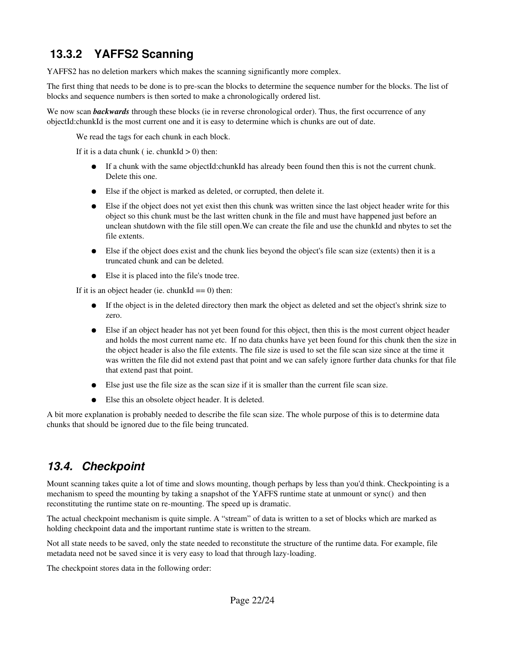### **13.3.2 YAFFS2 Scanning**

YAFFS2 has no deletion markers which makes the scanning significantly more complex.

The first thing that needs to be done is to pre-scan the blocks to determine the sequence number for the blocks. The list of blocks and sequence numbers is then sorted to make a chronologically ordered list.

We now scan *backwards* through these blocks (ie in reverse chronological order). Thus, the first occurrence of any objectId:chunkId is the most current one and it is easy to determine which is chunks are out of date.

We read the tags for each chunk in each block.

If it is a data chunk ( ie. chunkId  $> 0$ ) then:

- If a chunk with the same objectId:chunkId has already been found then this is not the current chunk. Delete this one.
- Else if the object is marked as deleted, or corrupted, then delete it.
- Else if the object does not yet exist then this chunk was written since the last object header write for this object so this chunk must be the last written chunk in the file and must have happened just before an unclean shutdown with the file still open.We can create the file and use the chunkId and nbytes to set the file extents.
- Else if the object does exist and the chunk lies beyond the object's file scan size (extents) then it is a truncated chunk and can be deleted.
- Else it is placed into the file's tnode tree.

If it is an object header (ie. chunkId  $== 0$ ) then:

- If the object is in the deleted directory then mark the object as deleted and set the object's shrink size to zero.
- Else if an object header has not yet been found for this object, then this is the most current object header and holds the most current name etc. If no data chunks have yet been found for this chunk then the size in the object header is also the file extents. The file size is used to set the file scan size since at the time it was written the file did not extend past that point and we can safely ignore further data chunks for that file that extend past that point.
- Else just use the file size as the scan size if it is smaller than the current file scan size.
- Else this an obsolete object header. It is deleted.

A bit more explanation is probably needed to describe the file scan size. The whole purpose of this is to determine data chunks that should be ignored due to the file being truncated.

#### *13.4. Checkpoint*

Mount scanning takes quite a lot of time and slows mounting, though perhaps by less than you'd think. Checkpointing is a mechanism to speed the mounting by taking a snapshot of the YAFFS runtime state at unmount or sync() and then reconstituting the runtime state on re-mounting. The speed up is dramatic.

The actual checkpoint mechanism is quite simple. A "stream" of data is written to a set of blocks which are marked as holding checkpoint data and the important runtime state is written to the stream.

Not all state needs to be saved, only the state needed to reconstitute the structure of the runtime data. For example, file metadata need not be saved since it is very easy to load that through lazy-loading.

The checkpoint stores data in the following order: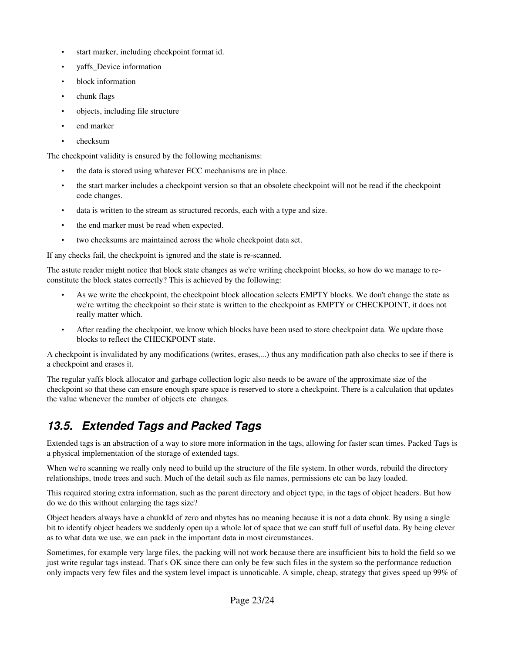- start marker, including checkpoint format id.
- yaffs\_Device information
- block information
- chunk flags
- objects, including file structure
- end marker
- checksum

The checkpoint validity is ensured by the following mechanisms:

- the data is stored using whatever ECC mechanisms are in place.
- the start marker includes a checkpoint version so that an obsolete checkpoint will not be read if the checkpoint code changes.
- data is written to the stream as structured records, each with a type and size.
- the end marker must be read when expected.
- two checksums are maintained across the whole checkpoint data set.

If any checks fail, the checkpoint is ignored and the state is re-scanned.

The astute reader might notice that block state changes as we're writing checkpoint blocks, so how do we manage to reconstitute the block states correctly? This is achieved by the following:

- As we write the checkpoint, the checkpoint block allocation selects EMPTY blocks. We don't change the state as we're wrtitng the checkpoint so their state is written to the checkpoint as EMPTY or CHECKPOINT, it does not really matter which.
- After reading the checkpoint, we know which blocks have been used to store checkpoint data. We update those blocks to reflect the CHECKPOINT state.

A checkpoint is invalidated by any modifications (writes, erases,...) thus any modification path also checks to see if there is a checkpoint and erases it.

The regular yaffs block allocator and garbage collection logic also needs to be aware of the approximate size of the checkpoint so that these can ensure enough spare space is reserved to store a checkpoint. There is a calculation that updates the value whenever the number of objects etc changes.

### *13.5. Extended Tags and Packed Tags*

Extended tags is an abstraction of a way to store more information in the tags, allowing for faster scan times. Packed Tags is a physical implementation of the storage of extended tags.

When we're scanning we really only need to build up the structure of the file system. In other words, rebuild the directory relationships, tnode trees and such. Much of the detail such as file names, permissions etc can be lazy loaded.

This required storing extra information, such as the parent directory and object type, in the tags of object headers. But how do we do this without enlarging the tags size?

Object headers always have a chunkId of zero and nbytes has no meaning because it is not a data chunk. By using a single bit to identify object headers we suddenly open up a whole lot of space that we can stuff full of useful data. By being clever as to what data we use, we can pack in the important data in most circumstances.

Sometimes, for example very large files, the packing will not work because there are insufficient bits to hold the field so we just write regular tags instead. That's OK since there can only be few such files in the system so the performance reduction only impacts very few files and the system level impact is unnoticable. A simple, cheap, strategy that gives speed up 99% of